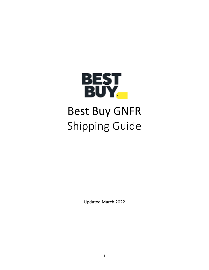

# Best Buy GNFR Shipping Guide

Updated March 2022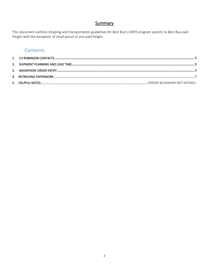## Summary

This document outlines shipping and transportation guidelines for Best Buy's GNFR program specific to Best Buy paid freight with the exception of small parcel or pre-paid freight.

# Contents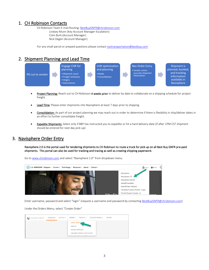## <span id="page-2-0"></span>1. CH Robinson Contacts

CH Robinson Team E-mail Routing[: BestBuyGNFR@chrobinson.com](mailto:bestbuygnfr@chrobinson.com) Lindsey Munn (Key Account Manager-Escalation) Colin Burk (Account Manager) Nick Degen (Account Manager)

For any small parcel or prepaid questions please contact nsotransportation@bestbuy.com

## <span id="page-2-1"></span>2. Shipment Planning and Lead Time



- Project Planning: Reach out t[o CH](mailto:targetteam@chrobinson.com) Robinson 4 weeks prior to deliver by date to collaborate on a shipping schedule for project freight.
- Lead Time: Please enter shipments into Navisphere at least 7 days prior to shipping
- Consolidation: As part of our project planning we may reach out in order to determine if there is flexibility in ship/deliver dates in an effort to further consolidate freight.
- Expedite Shipments: Select only if BBY has instructed you to expedite or hit a hard delivery date (if after 1PM CST shipment should be entered for next day pick-up)

## <span id="page-2-2"></span>3. Navisphere Order Entry

Navisphere 2.0 is the portal used for tendering shipments to CH Robinson to route a truck for pick up on all Best Buy GNFR pre-paid shipments. This portal can also be used for tracking and tracing as well as creating shipping paperwork.



Go t[o www.chrobinson.com](http://www.chrobinson.com/) and select "Navisphere 2.0" from dropdown menu.

Enter username, password and select "login" (request a username and password by contacting [BestBuyGNFR@chrobinson.com\)](mailto:BestBuyGNFR@chrobinson.com)

#### Under the Orders Menu, select "Create Order"

| NAVISPHERE® | <b>DASHBOARD</b> | OUOTING - | ORDERS $\sim$                                  |                                                        | TRACKING - ACCOUNTS PAYABLE - | <b>REPORTS</b> |
|-------------|------------------|-----------|------------------------------------------------|--------------------------------------------------------|-------------------------------|----------------|
|             |                  |           | <b>CREATE ORDER,</b><br>DRAW PO<br>___________ | MANAGE TEMPLATES<br>STANDARD OPERATING PROCEDURES<br>v |                               |                |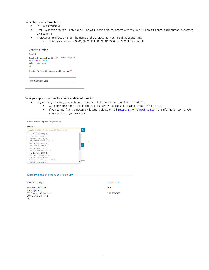#### Enter shipment Information:

- $\bullet$  (\*) = required field
- Best Buy PO#'s or SO#'s Enter one PO or SO # in this field; for orders with multiple PO or SO #'s enter each number separated by a comma
- Project Name or Code Enter the name of the project that your freight is supporting.
	- This may look like Q00001, Q2215K, R0000R, N00000I, or P2205I for example

| Create Order                                                                        |                        |
|-------------------------------------------------------------------------------------|------------------------|
| Account                                                                             |                        |
| Best Buy Company Inc. - C56467<br>7601 Penn Ave, South<br>Richfield, MN 55423<br>US | <b>Select Template</b> |
| Best Buy PO#'s or SO#'s (separated by comma) *                                      |                        |
|                                                                                     |                        |
| <b>Project Name or Code</b>                                                         |                        |
|                                                                                     |                        |
|                                                                                     |                        |

#### Enter pick up and delivery location and date information:

- Begin typing by name, city, state, or zip and select the correct location from drop down.
	- **■** After selecting the correct location, please verify that the address and contact info is correct.
	- If you cannot find the necessary location, please e-mai[l BestBuyGNFR@chrobinson.com](mailto:targetteam@chrobinson.com) the information so that we may add this to your selection.

| Location                                           |           |
|----------------------------------------------------|-----------|
| best Buy, W1032209, The Shops East, BOARDMAN OH US | Q         |
| Best Buy - W1032209 (257)                          |           |
| The Shops East, BOARDMAN, OH, US                   |           |
| Best Buy - W1032798 (156)                          |           |
| 5800 BRITTON PARKWAY, Dublin, OH, US               |           |
| Best Buy - W721197 (195)                           | <b>AM</b> |
| 8143 E. Kellog Dr., Wichita, KS, US                |           |
| Best Buy - W1032538 (215)                          |           |
| 11219 N FREEWAY, HOUSTON, TX, US                   |           |
| Best Buy - W1029919 (980)                          |           |
| Photo Studio, Eden Prairie, MN, US                 |           |
| Best Buy - W1029924 (964)                          |           |
| Damark International, Brooklyn Park, MN, US        |           |
| Best Buy - W1029929 (960)                          |           |

| Where will the shipment be picked up?          |                |  |  |  |  |  |
|------------------------------------------------|----------------|--|--|--|--|--|
|                                                |                |  |  |  |  |  |
|                                                |                |  |  |  |  |  |
| Location Change                                | Contact Edit   |  |  |  |  |  |
|                                                |                |  |  |  |  |  |
| <b>Best Buy - W1032209</b>                     | Rcvg           |  |  |  |  |  |
| The Shops East                                 |                |  |  |  |  |  |
| 561 Boardman-Poland Road<br>BOARDMAN, OH 44512 | (330) 758-6430 |  |  |  |  |  |
| US.                                            |                |  |  |  |  |  |
|                                                |                |  |  |  |  |  |
|                                                |                |  |  |  |  |  |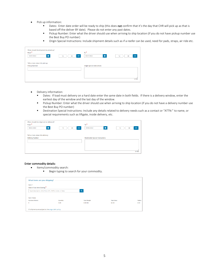- Pick up information:
	- **EXECT** Dates: Enter date order will be ready to ship (this does not confirm that it's the day that CHR will pick up as that is based off the deliver BY date). Please do not enter any past dates.
	- Pickup Number: Enter what the driver should use when arriving to ship location (if you do not have pickup number use the Best Buy PO number)
	- Origin Special Instructions: Include shipment details such as if a reefer can be used, need for pads, straps, air ride etc.

| When should the shipment be picked up?<br>$From *$<br>首<br>03/01/2022 | AM<br>12<br>00<br>÷ | $To^*$<br>$\equiv$<br>03/01/2022   | AM<br>12<br>00<br>n i |
|-----------------------------------------------------------------------|---------------------|------------------------------------|-----------------------|
| Tell us more about this pick up<br><b>Pickup Number</b>               |                     | <b>Origin Special Instructions</b> |                       |
|                                                                       |                     |                                    | 0/1000                |

- Delivery information:
	- Dates: If load must delivery on a hard date enter the same date in both fields. If there is a delivery window, enter the earliest day of the window and the last day of the window.
	- Pickup Number: Enter what the driver should use when arriving to ship location (if you do not have a delivery number use the Best Buy PO number)
	- **EXECT** Destination Special Instructions: Include any details related to delivery needs such as a contact or "ATTN:" to name, or special requirements such as liftgate, inside delivery, etc.

| From <sup>*</sup>                |                     | $To^*$                                  |                |
|----------------------------------|---------------------|-----------------------------------------|----------------|
| 旨<br>03/02/2022                  | AM<br>12<br>00<br>÷ | 旨<br>03/02/2022                         | AM<br>12<br>00 |
| Tell us more about this delivery |                     |                                         |                |
|                                  |                     |                                         |                |
| <b>Delivery Number</b>           |                     | <b>Destination Special Instructions</b> |                |
|                                  |                     |                                         |                |
|                                  |                     |                                         |                |
|                                  |                     |                                         |                |
|                                  |                     |                                         |                |
|                                  |                     |                                         |                |
|                                  |                     |                                         |                |
|                                  |                     |                                         |                |

#### Enter commodity details:

- Items/commodity search:
	- Begin typing to search for your commodity.

| What items are you shipping?                          |          |                     |                    |         |
|-------------------------------------------------------|----------|---------------------|--------------------|---------|
| Item 1                                                |          |                     |                    |         |
| Search Your Item Catalog *                            |          |                     |                    |         |
| Type description, SKU, PLU, UPC, NMFC, Code, or Class |          | $\alpha$            |                    |         |
|                                                       |          |                     |                    |         |
| <b>Item Totals</b>                                    |          |                     |                    |         |
| Number of Items                                       | Quantity | <b>Total Weight</b> | <b>Total Value</b> | Pallets |
| $\circ$                                               | 0.00     | $0.00$ lbs          | \$0.00             | 0.00    |
|                                                       |          |                     |                    |         |
| All shipments are subject to the cargo claim policy.  |          |                     |                    |         |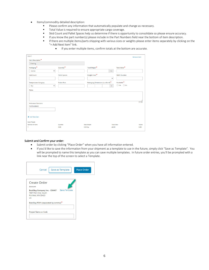- Items/commodity detailed description:
	- **EXECT** Please confirm any information that automatically populate and change as necessary.
	- Total Value is required to ensure appropriate cargo coverage.<br>■ Skid Count and Pallet Spaces help us determine if there is oppe
	- Skid Count and Pallet Spaces help us determine if there is opportunity to consolidate so please ensure accuracy.
	- If you know the part number(s) please include in the Part Numbers field near the bottom of item description.
	- "If there are multiple items/parts shipping with various sizes or weights please enter items separately by clicking on the "+ Add Next Item" link.
		- If you enter multiple items, confirm totals at the bottom are accurate.

| Item 1                                          |                       |                                               |                              | Remove Item |
|-------------------------------------------------|-----------------------|-----------------------------------------------|------------------------------|-------------|
| Item Description*                               |                       |                                               |                              |             |
| Shelving                                        |                       |                                               |                              |             |
| Packaging <sup>*</sup>                          | Quantity <sup>*</sup> | Total Weight <sup>*</sup>                     | Total Value <sup>*</sup>     |             |
| Eaches<br>$\checkmark$                          |                       | Ibs                                           |                              |             |
| <b>Skid Count</b>                               | <b>Pallet Spaces</b>  | Freight Class <sup>*</sup><br>$\checkmark$    | <b>NMFC Number</b>           |             |
| <b>Temperature Category</b>                     | <b>Trailer Feet</b>   | Packaging Dimensions (L x W x H) <sup>*</sup> | Stackable <sup>*</sup>       |             |
| $\checkmark$<br>Dry                             |                       | in.                                           | $\bigcirc$ Yes $\bigcirc$ No |             |
| <b>Reference Numbers</b><br><b>Part Numbers</b> |                       |                                               |                              | 0/1000      |
| + Add Next Item<br><b>Item Totals</b>           |                       |                                               |                              |             |
| Number of Items                                 | Quantity              | <b>Total Weight</b>                           | <b>Total Value</b>           | Pallets     |
| 1.                                              | 0.00                  | $0.00$ lbs                                    | \$0.00                       | 0.00        |

#### Submit and Confirm your order:

- Submit order by clicking "Place Order" when you have all information entered.
- If you'd like to save the information from your shipment as a template to use in the future, simply click "Save as Template". You will be prompted to name this template as you can save multiple templates. In future order entries, you'll be prompted with a link near the top of the screen to select a Template.

| Cancel                                                                                              | Save as Template | <b>Place Order</b> |
|-----------------------------------------------------------------------------------------------------|------------------|--------------------|
|                                                                                                     |                  |                    |
| Create Order                                                                                        |                  |                    |
| Account                                                                                             |                  |                    |
| Best Buy Company Inc. - C56467 Select Template<br>7601 Penn Ave, South<br>Richfield, MN 55423<br>US |                  |                    |
| Best Buy PO#'s (separated by comma)*                                                                |                  |                    |
|                                                                                                     |                  |                    |
| <b>Project Name or Code</b>                                                                         |                  |                    |
|                                                                                                     |                  |                    |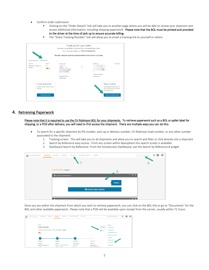- Confirm order submission.
	- Clicking on the "Order Details" link will take you to another page where you will be able to review your shipment and access additional information, including shipping paperwork. Please note that the BOL must be printed and provided to the driver at the time of pick up to ensure accurate billing.
	- The "Share Tracking Number" link will allow you to email a tracking link to yourself or others



### <span id="page-6-0"></span>4. Retreiving Paperwork

Please note that it is required to use the CH Robinson BOL for your shipments. To retrieve paperwork such as a BOL or pallet label for shipping, or a POD after delivery, you will need to first access the shipment. There are multiple ways you can do this:

- To search for a specific shipment by PO number, pick up or delivery number, CH Robinson load number, or any other number associated to the shipment:
	- 1. Tracking screen: This will take you to all shipments and allow you to search and filter or click directly into a shipment
	- 2. Search by Reference easy access: From any screen within Navisphere this search screen is available
	- 3. Dashboard Search by Reference: From the homescreen Dashboard, use the Search by Reference # widget



Once you are within the shipment from which you wish to retrieve paperwork, you can click on the BOL link or go to "Documents" for the BOL and other available paperwork. Please note that a POD will be available upon receipt from the carrier, usually within 72 hours.

| <b>NAVISPHERE®</b> | DASHBOARD<br>QUOTING -                         | TRACKING =<br>ORDERS +     | ACCOUNTS PAYABLE =    | <b>REPORTS</b> |                                     |              | Search by Reference #      | Q | ₩ | $\boldsymbol{\Theta}$<br>٠ |
|--------------------|------------------------------------------------|----------------------------|-----------------------|----------------|-------------------------------------|--------------|----------------------------|---|---|----------------------------|
|                    |                                                |                            |                       |                |                                     |              |                            |   |   |                            |
|                    | $\triangle$ Back                               |                            |                       |                |                                     |              | Jump to                    |   |   |                            |
|                    | <b>Order Details</b>                           |                            |                       |                |                                     | Reorder      | <b>Order Details</b>       |   |   |                            |
|                    | Ordered on March 18, 2022   Order # 1539779985 | <b>Active</b>              |                       |                |                                     | <b>B</b> BOL | <b>Tracking Info</b>       |   |   |                            |
|                    | ل حالة                                         |                            |                       |                |                                     |              | <b>Transportation Plan</b> |   |   |                            |
|                    | LTL                                            |                            |                       |                |                                     |              | <b>Reference Numbers</b>   |   |   |                            |
|                    | <b>Section</b>                                 |                            |                       |                |                                     |              | Locations                  |   |   |                            |
|                    |                                                |                            |                       |                |                                     |              | <b>Shipping Items</b>      |   |   |                            |
|                    | Ordered                                        | <b>Booked</b>              | In Transit            |                | Delivered                           |              | <b>Documents</b>           |   |   |                            |
|                    | ACCOUNT                                        | PICKUP                     | LATEST UPDATE         |                | DELIVERY                            |              |                            |   |   |                            |
|                    | Best Buy Company Inc.<br>. .                   | ٠<br>- -<br><b>STEP OF</b> | 03/18/2022<br>Joe, NC |                | Best Buy #16<br>4100 University Ave |              | Contact Us                 |   |   |                            |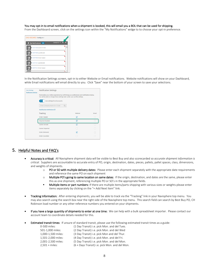#### You may opt-in to email notifications when a shipment is booked, this will email you a BOL that can be used for shipping.

From the Dashboard screen, click on the settings icon within the "My Notifications" widge to to choose your opt-in preference.



In the Notification Settings screen, opt-in to either Website or Email notifications. Website notifications will show on your Dashboard, while Email notifications will email directly to you. Click "Save" near the bottom of your screen to save your selections.

| <b>User Settings</b>         |                                                                                                                                                                                                                                                                                              | <b>Notification Settings</b> |       |  |  |  |  |  |
|------------------------------|----------------------------------------------------------------------------------------------------------------------------------------------------------------------------------------------------------------------------------------------------------------------------------------------|------------------------------|-------|--|--|--|--|--|
| <b>Notification Settings</b> |                                                                                                                                                                                                                                                                                              |                              |       |  |  |  |  |  |
|                              | Personalize your online experience by confirming your preferences and notifications below.<br>You will be able to change these settings later under your profile settings.<br>Use settings for all accounts<br>ON<br>Enter Company Name Or C-Code<br>Notification Definitions <sup>[2]</sup> | Q                            |       |  |  |  |  |  |
|                              | <b>Tracking</b>                                                                                                                                                                                                                                                                              | Website                      | Email |  |  |  |  |  |
|                              | <b>Order Created</b>                                                                                                                                                                                                                                                                         | ☑                            |       |  |  |  |  |  |
|                              |                                                                                                                                                                                                                                                                                              |                              |       |  |  |  |  |  |
|                              | <b>Shipment Booked</b>                                                                                                                                                                                                                                                                       | ☑                            |       |  |  |  |  |  |
|                              | Carrier Arrived                                                                                                                                                                                                                                                                              | ☑                            |       |  |  |  |  |  |
|                              | <b>Carrier Departed</b>                                                                                                                                                                                                                                                                      |                              |       |  |  |  |  |  |
|                              | Order Delivered                                                                                                                                                                                                                                                                              | ⊽                            |       |  |  |  |  |  |
|                              | Order Cancelled                                                                                                                                                                                                                                                                              |                              |       |  |  |  |  |  |
|                              |                                                                                                                                                                                                                                                                                              |                              |       |  |  |  |  |  |

## 5. Helpful Notes and FAQ's

- Accuracy is critical: All Navisphere shipment data will be visible to Best Buy and also scorecarded so *accurate shipment information is critical*. Suppliers are accountable to accurate entry of PO, origin, destination, dates, pieces, pallets, pallet spaces, class, dimensions, and weights of shipments.
	- o PO or SO with multiple delivery dates: Please enter each shipment separately with the appropriate date requirements and reference the same PO on each shipment
	- $\circ$  Multiple PO's going to same location on same dates: If the origin, destination, and dates are the same, please enter this as one shipment, referencing multiple PO or SO's in the appropriate fields.
	- **INultiple items or part numbers:** If there are multiple items/parts shipping with various sizes or weights please enter items separately by clicking on the "+ Add Next Item" link.
- Tracking Information: After entering shipments, you will be able to track via the "Tracking" link in your Navisphere top menu. You may also search using the search box near the right side of the Navisphere top menu. This search field can search by Best Buy PO, CH Robinson load number or any other reference numbers you entered on your shipments.
- If you have a large quantity of shipments to enter at one time: We can help with a bulk spreadsheet importer. Please contact our account team to coordinate details needed for this.
- Estimated transit times: If unsure of standard transit, please use the following estimated transit times as a guide:

| 0-500 miles:       | (1 Day Transit) i.e. pick Mon. and del Tues.   |
|--------------------|------------------------------------------------|
| 501-1,000 miles:   | (2 Day Transit) i.e. pick Mon. and del Wed     |
| 1,000-1,500 miles: | (3 Day Transit) i.e. pick Mon and del Thur.    |
| 1,501-2,000 miles: | (4 Day Transit) i.e. pick Mon. and del Fri.    |
| 2,001-2,500 miles: | (5 Day Transit) i.e. pick Mon. and del Mon.    |
| $2,501 + miles:$   | (6 + Days Transit) i.e. pick Mon. and del Mon. |